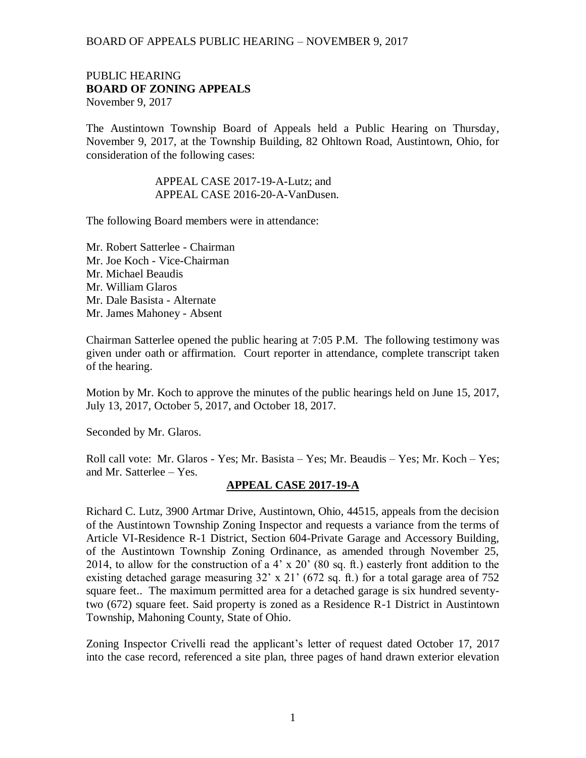#### PUBLIC HEARING **BOARD OF ZONING APPEALS**  November 9, 2017

The Austintown Township Board of Appeals held a Public Hearing on Thursday, November 9, 2017, at the Township Building, 82 Ohltown Road, Austintown, Ohio, for consideration of the following cases:

#### APPEAL CASE 2017-19-A-Lutz; and APPEAL CASE 2016-20-A-VanDusen.

The following Board members were in attendance:

Mr. Robert Satterlee - Chairman Mr. Joe Koch - Vice-Chairman Mr. Michael Beaudis Mr. William Glaros Mr. Dale Basista - Alternate Mr. James Mahoney - Absent

Chairman Satterlee opened the public hearing at 7:05 P.M. The following testimony was given under oath or affirmation. Court reporter in attendance, complete transcript taken of the hearing.

Motion by Mr. Koch to approve the minutes of the public hearings held on June 15, 2017, July 13, 2017, October 5, 2017, and October 18, 2017.

Seconded by Mr. Glaros.

Roll call vote: Mr. Glaros - Yes; Mr. Basista – Yes; Mr. Beaudis – Yes; Mr. Koch – Yes; and Mr. Satterlee – Yes.

# **APPEAL CASE 2017-19-A**

Richard C. Lutz, 3900 Artmar Drive, Austintown, Ohio, 44515, appeals from the decision of the Austintown Township Zoning Inspector and requests a variance from the terms of Article VI-Residence R-1 District, Section 604-Private Garage and Accessory Building, of the Austintown Township Zoning Ordinance, as amended through November 25, 2014, to allow for the construction of a 4' x 20' (80 sq. ft.) easterly front addition to the existing detached garage measuring 32' x 21' (672 sq. ft.) for a total garage area of 752 square feet.. The maximum permitted area for a detached garage is six hundred seventytwo (672) square feet. Said property is zoned as a Residence R-1 District in Austintown Township, Mahoning County, State of Ohio.

Zoning Inspector Crivelli read the applicant's letter of request dated October 17, 2017 into the case record, referenced a site plan, three pages of hand drawn exterior elevation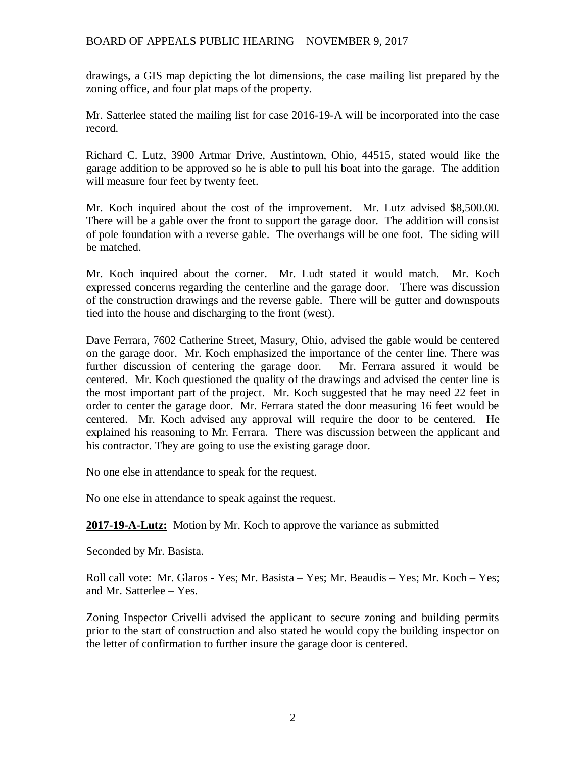drawings, a GIS map depicting the lot dimensions, the case mailing list prepared by the zoning office, and four plat maps of the property.

Mr. Satterlee stated the mailing list for case 2016-19-A will be incorporated into the case record.

Richard C. Lutz, 3900 Artmar Drive, Austintown, Ohio, 44515, stated would like the garage addition to be approved so he is able to pull his boat into the garage. The addition will measure four feet by twenty feet.

Mr. Koch inquired about the cost of the improvement. Mr. Lutz advised \$8,500.00. There will be a gable over the front to support the garage door. The addition will consist of pole foundation with a reverse gable. The overhangs will be one foot. The siding will be matched.

Mr. Koch inquired about the corner. Mr. Ludt stated it would match. Mr. Koch expressed concerns regarding the centerline and the garage door. There was discussion of the construction drawings and the reverse gable. There will be gutter and downspouts tied into the house and discharging to the front (west).

Dave Ferrara, 7602 Catherine Street, Masury, Ohio, advised the gable would be centered on the garage door. Mr. Koch emphasized the importance of the center line. There was further discussion of centering the garage door. Mr. Ferrara assured it would be centered. Mr. Koch questioned the quality of the drawings and advised the center line is the most important part of the project. Mr. Koch suggested that he may need 22 feet in order to center the garage door. Mr. Ferrara stated the door measuring 16 feet would be centered. Mr. Koch advised any approval will require the door to be centered. He explained his reasoning to Mr. Ferrara. There was discussion between the applicant and his contractor. They are going to use the existing garage door.

No one else in attendance to speak for the request.

No one else in attendance to speak against the request.

**2017-19-A-Lutz:** Motion by Mr. Koch to approve the variance as submitted

Seconded by Mr. Basista.

Roll call vote: Mr. Glaros - Yes; Mr. Basista – Yes; Mr. Beaudis – Yes; Mr. Koch – Yes; and Mr. Satterlee – Yes.

Zoning Inspector Crivelli advised the applicant to secure zoning and building permits prior to the start of construction and also stated he would copy the building inspector on the letter of confirmation to further insure the garage door is centered.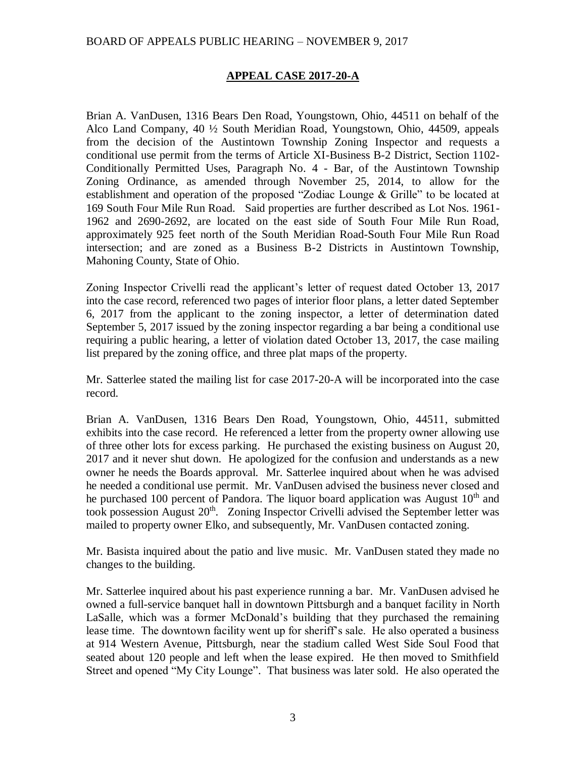## **APPEAL CASE 2017-20-A**

Brian A. VanDusen, 1316 Bears Den Road, Youngstown, Ohio, 44511 on behalf of the Alco Land Company, 40 ½ South Meridian Road, Youngstown, Ohio, 44509, appeals from the decision of the Austintown Township Zoning Inspector and requests a conditional use permit from the terms of Article XI-Business B-2 District, Section 1102- Conditionally Permitted Uses, Paragraph No. 4 - Bar, of the Austintown Township Zoning Ordinance, as amended through November 25, 2014, to allow for the establishment and operation of the proposed "Zodiac Lounge & Grille" to be located at 169 South Four Mile Run Road. Said properties are further described as Lot Nos. 1961- 1962 and 2690-2692, are located on the east side of South Four Mile Run Road, approximately 925 feet north of the South Meridian Road-South Four Mile Run Road intersection; and are zoned as a Business B-2 Districts in Austintown Township, Mahoning County, State of Ohio.

Zoning Inspector Crivelli read the applicant's letter of request dated October 13, 2017 into the case record, referenced two pages of interior floor plans, a letter dated September 6, 2017 from the applicant to the zoning inspector, a letter of determination dated September 5, 2017 issued by the zoning inspector regarding a bar being a conditional use requiring a public hearing, a letter of violation dated October 13, 2017, the case mailing list prepared by the zoning office, and three plat maps of the property.

Mr. Satterlee stated the mailing list for case 2017-20-A will be incorporated into the case record.

Brian A. VanDusen, 1316 Bears Den Road, Youngstown, Ohio, 44511, submitted exhibits into the case record. He referenced a letter from the property owner allowing use of three other lots for excess parking. He purchased the existing business on August 20, 2017 and it never shut down. He apologized for the confusion and understands as a new owner he needs the Boards approval. Mr. Satterlee inquired about when he was advised he needed a conditional use permit. Mr. VanDusen advised the business never closed and he purchased 100 percent of Pandora. The liquor board application was August  $10<sup>th</sup>$  and took possession August  $20<sup>th</sup>$ . Zoning Inspector Crivelli advised the September letter was mailed to property owner Elko, and subsequently, Mr. VanDusen contacted zoning.

Mr. Basista inquired about the patio and live music. Mr. VanDusen stated they made no changes to the building.

Mr. Satterlee inquired about his past experience running a bar. Mr. VanDusen advised he owned a full-service banquet hall in downtown Pittsburgh and a banquet facility in North LaSalle, which was a former McDonald's building that they purchased the remaining lease time. The downtown facility went up for sheriff's sale. He also operated a business at 914 Western Avenue, Pittsburgh, near the stadium called West Side Soul Food that seated about 120 people and left when the lease expired. He then moved to Smithfield Street and opened "My City Lounge". That business was later sold. He also operated the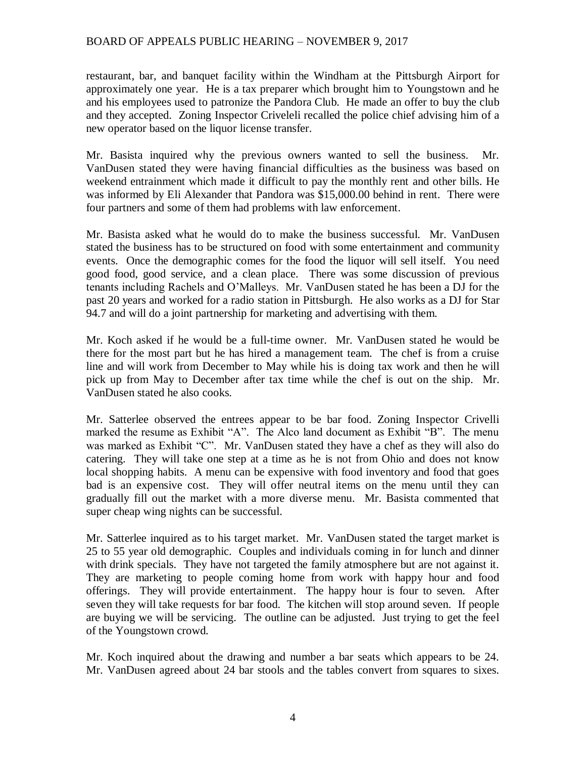restaurant, bar, and banquet facility within the Windham at the Pittsburgh Airport for approximately one year. He is a tax preparer which brought him to Youngstown and he and his employees used to patronize the Pandora Club. He made an offer to buy the club and they accepted. Zoning Inspector Criveleli recalled the police chief advising him of a new operator based on the liquor license transfer.

Mr. Basista inquired why the previous owners wanted to sell the business. Mr. VanDusen stated they were having financial difficulties as the business was based on weekend entrainment which made it difficult to pay the monthly rent and other bills. He was informed by Eli Alexander that Pandora was \$15,000.00 behind in rent. There were four partners and some of them had problems with law enforcement.

Mr. Basista asked what he would do to make the business successful. Mr. VanDusen stated the business has to be structured on food with some entertainment and community events. Once the demographic comes for the food the liquor will sell itself. You need good food, good service, and a clean place. There was some discussion of previous tenants including Rachels and O'Malleys. Mr. VanDusen stated he has been a DJ for the past 20 years and worked for a radio station in Pittsburgh. He also works as a DJ for Star 94.7 and will do a joint partnership for marketing and advertising with them.

Mr. Koch asked if he would be a full-time owner. Mr. VanDusen stated he would be there for the most part but he has hired a management team. The chef is from a cruise line and will work from December to May while his is doing tax work and then he will pick up from May to December after tax time while the chef is out on the ship. Mr. VanDusen stated he also cooks.

Mr. Satterlee observed the entrees appear to be bar food. Zoning Inspector Crivelli marked the resume as Exhibit "A". The Alco land document as Exhibit "B". The menu was marked as Exhibit "C". Mr. VanDusen stated they have a chef as they will also do catering. They will take one step at a time as he is not from Ohio and does not know local shopping habits. A menu can be expensive with food inventory and food that goes bad is an expensive cost. They will offer neutral items on the menu until they can gradually fill out the market with a more diverse menu. Mr. Basista commented that super cheap wing nights can be successful.

Mr. Satterlee inquired as to his target market. Mr. VanDusen stated the target market is 25 to 55 year old demographic. Couples and individuals coming in for lunch and dinner with drink specials. They have not targeted the family atmosphere but are not against it. They are marketing to people coming home from work with happy hour and food offerings. They will provide entertainment. The happy hour is four to seven. After seven they will take requests for bar food. The kitchen will stop around seven. If people are buying we will be servicing. The outline can be adjusted. Just trying to get the feel of the Youngstown crowd.

Mr. Koch inquired about the drawing and number a bar seats which appears to be 24. Mr. VanDusen agreed about 24 bar stools and the tables convert from squares to sixes.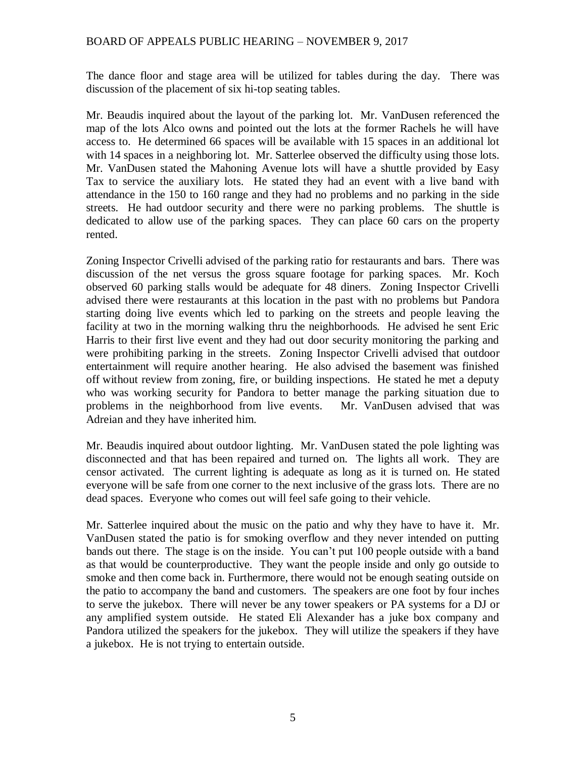The dance floor and stage area will be utilized for tables during the day. There was discussion of the placement of six hi-top seating tables.

Mr. Beaudis inquired about the layout of the parking lot. Mr. VanDusen referenced the map of the lots Alco owns and pointed out the lots at the former Rachels he will have access to. He determined 66 spaces will be available with 15 spaces in an additional lot with 14 spaces in a neighboring lot. Mr. Satterlee observed the difficulty using those lots. Mr. VanDusen stated the Mahoning Avenue lots will have a shuttle provided by Easy Tax to service the auxiliary lots. He stated they had an event with a live band with attendance in the 150 to 160 range and they had no problems and no parking in the side streets. He had outdoor security and there were no parking problems. The shuttle is dedicated to allow use of the parking spaces. They can place 60 cars on the property rented.

Zoning Inspector Crivelli advised of the parking ratio for restaurants and bars. There was discussion of the net versus the gross square footage for parking spaces. Mr. Koch observed 60 parking stalls would be adequate for 48 diners. Zoning Inspector Crivelli advised there were restaurants at this location in the past with no problems but Pandora starting doing live events which led to parking on the streets and people leaving the facility at two in the morning walking thru the neighborhoods. He advised he sent Eric Harris to their first live event and they had out door security monitoring the parking and were prohibiting parking in the streets. Zoning Inspector Crivelli advised that outdoor entertainment will require another hearing. He also advised the basement was finished off without review from zoning, fire, or building inspections. He stated he met a deputy who was working security for Pandora to better manage the parking situation due to problems in the neighborhood from live events. Mr. VanDusen advised that was Adreian and they have inherited him.

Mr. Beaudis inquired about outdoor lighting. Mr. VanDusen stated the pole lighting was disconnected and that has been repaired and turned on. The lights all work. They are censor activated. The current lighting is adequate as long as it is turned on. He stated everyone will be safe from one corner to the next inclusive of the grass lots. There are no dead spaces. Everyone who comes out will feel safe going to their vehicle.

Mr. Satterlee inquired about the music on the patio and why they have to have it. Mr. VanDusen stated the patio is for smoking overflow and they never intended on putting bands out there. The stage is on the inside. You can't put 100 people outside with a band as that would be counterproductive. They want the people inside and only go outside to smoke and then come back in. Furthermore, there would not be enough seating outside on the patio to accompany the band and customers. The speakers are one foot by four inches to serve the jukebox. There will never be any tower speakers or PA systems for a DJ or any amplified system outside. He stated Eli Alexander has a juke box company and Pandora utilized the speakers for the jukebox. They will utilize the speakers if they have a jukebox. He is not trying to entertain outside.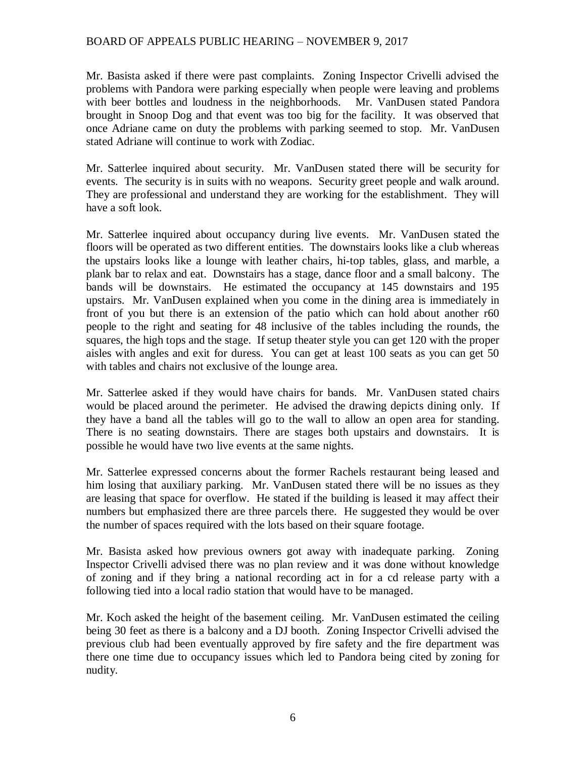Mr. Basista asked if there were past complaints. Zoning Inspector Crivelli advised the problems with Pandora were parking especially when people were leaving and problems with beer bottles and loudness in the neighborhoods. Mr. VanDusen stated Pandora brought in Snoop Dog and that event was too big for the facility. It was observed that once Adriane came on duty the problems with parking seemed to stop. Mr. VanDusen stated Adriane will continue to work with Zodiac.

Mr. Satterlee inquired about security. Mr. VanDusen stated there will be security for events. The security is in suits with no weapons. Security greet people and walk around. They are professional and understand they are working for the establishment. They will have a soft look.

Mr. Satterlee inquired about occupancy during live events. Mr. VanDusen stated the floors will be operated as two different entities. The downstairs looks like a club whereas the upstairs looks like a lounge with leather chairs, hi-top tables, glass, and marble, a plank bar to relax and eat. Downstairs has a stage, dance floor and a small balcony. The bands will be downstairs. He estimated the occupancy at 145 downstairs and 195 upstairs. Mr. VanDusen explained when you come in the dining area is immediately in front of you but there is an extension of the patio which can hold about another r60 people to the right and seating for 48 inclusive of the tables including the rounds, the squares, the high tops and the stage. If setup theater style you can get 120 with the proper aisles with angles and exit for duress. You can get at least 100 seats as you can get 50 with tables and chairs not exclusive of the lounge area.

Mr. Satterlee asked if they would have chairs for bands. Mr. VanDusen stated chairs would be placed around the perimeter. He advised the drawing depicts dining only. If they have a band all the tables will go to the wall to allow an open area for standing. There is no seating downstairs. There are stages both upstairs and downstairs. It is possible he would have two live events at the same nights.

Mr. Satterlee expressed concerns about the former Rachels restaurant being leased and him losing that auxiliary parking. Mr. VanDusen stated there will be no issues as they are leasing that space for overflow. He stated if the building is leased it may affect their numbers but emphasized there are three parcels there. He suggested they would be over the number of spaces required with the lots based on their square footage.

Mr. Basista asked how previous owners got away with inadequate parking. Zoning Inspector Crivelli advised there was no plan review and it was done without knowledge of zoning and if they bring a national recording act in for a cd release party with a following tied into a local radio station that would have to be managed.

Mr. Koch asked the height of the basement ceiling. Mr. VanDusen estimated the ceiling being 30 feet as there is a balcony and a DJ booth. Zoning Inspector Crivelli advised the previous club had been eventually approved by fire safety and the fire department was there one time due to occupancy issues which led to Pandora being cited by zoning for nudity.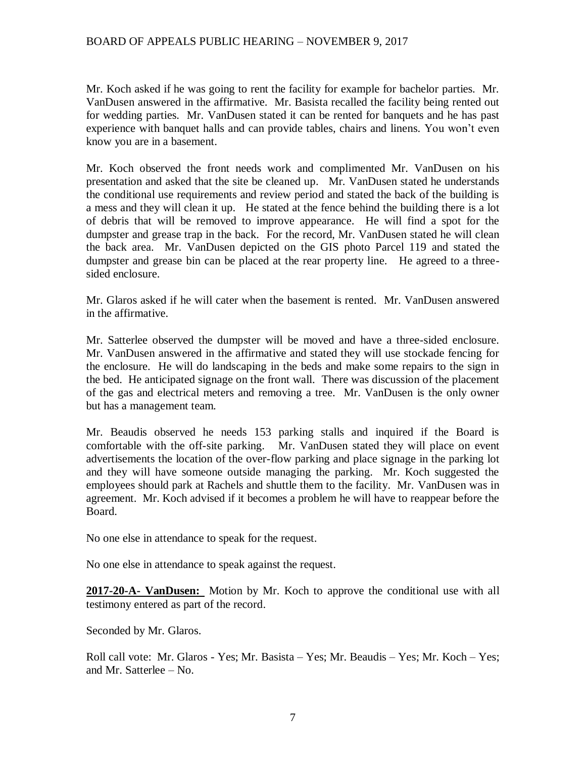Mr. Koch asked if he was going to rent the facility for example for bachelor parties. Mr. VanDusen answered in the affirmative. Mr. Basista recalled the facility being rented out for wedding parties. Mr. VanDusen stated it can be rented for banquets and he has past experience with banquet halls and can provide tables, chairs and linens. You won't even know you are in a basement.

Mr. Koch observed the front needs work and complimented Mr. VanDusen on his presentation and asked that the site be cleaned up. Mr. VanDusen stated he understands the conditional use requirements and review period and stated the back of the building is a mess and they will clean it up. He stated at the fence behind the building there is a lot of debris that will be removed to improve appearance. He will find a spot for the dumpster and grease trap in the back. For the record, Mr. VanDusen stated he will clean the back area. Mr. VanDusen depicted on the GIS photo Parcel 119 and stated the dumpster and grease bin can be placed at the rear property line. He agreed to a threesided enclosure.

Mr. Glaros asked if he will cater when the basement is rented. Mr. VanDusen answered in the affirmative.

Mr. Satterlee observed the dumpster will be moved and have a three-sided enclosure. Mr. VanDusen answered in the affirmative and stated they will use stockade fencing for the enclosure. He will do landscaping in the beds and make some repairs to the sign in the bed. He anticipated signage on the front wall. There was discussion of the placement of the gas and electrical meters and removing a tree. Mr. VanDusen is the only owner but has a management team.

Mr. Beaudis observed he needs 153 parking stalls and inquired if the Board is comfortable with the off-site parking. Mr. VanDusen stated they will place on event advertisements the location of the over-flow parking and place signage in the parking lot and they will have someone outside managing the parking. Mr. Koch suggested the employees should park at Rachels and shuttle them to the facility. Mr. VanDusen was in agreement. Mr. Koch advised if it becomes a problem he will have to reappear before the Board.

No one else in attendance to speak for the request.

No one else in attendance to speak against the request.

**2017-20-A- VanDusen:** Motion by Mr. Koch to approve the conditional use with all testimony entered as part of the record.

Seconded by Mr. Glaros.

Roll call vote: Mr. Glaros - Yes; Mr. Basista – Yes; Mr. Beaudis – Yes; Mr. Koch – Yes; and Mr. Satterlee – No.